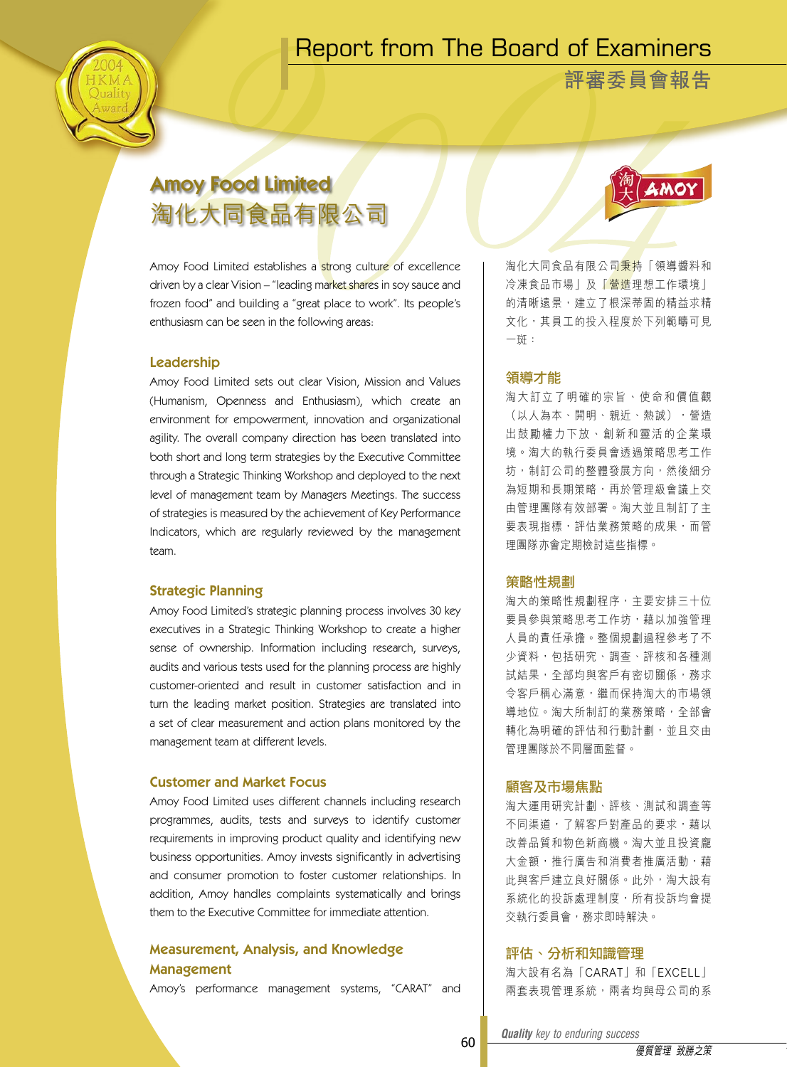# Report from The Board of Examiners

**評審委員會報告**

# Amoy Food Limited 淘化大同食品有限公司

Amoy Food Limited establishes a strong culture of excellence driven by a clear Vision – "leading market shares in soy sauce and frozen food" and building a "great place to work". Its people's enthusiasm can be seen in the following areas:

# Leadership

Amoy Food Limited sets out clear Vision, Mission and Values (Humanism, Openness and Enthusiasm), which create an environment for empowerment, innovation and organizational agility. The overall company direction has been translated into both short and long term strategies by the Executive Committee through a Strategic Thinking Workshop and deployed to the next level of management team by Managers Meetings. The success of strategies is measured by the achievement of Key Performance Indicators, which are regularly reviewed by the management team.

# Strategic Planning

Amoy Food Limited's strategic planning process involves 30 key executives in a Strategic Thinking Workshop to create a higher sense of ownership. Information including research, surveys, audits and various tests used for the planning process are highly customer-oriented and result in customer satisfaction and in turn the leading market position. Strategies are translated into a set of clear measurement and action plans monitored by the management team at different levels.

## Customer and Market Focus

Amoy Food Limited uses different channels including research programmes, audits, tests and surveys to identify customer requirements in improving product quality and identifying new business opportunities. Amoy invests significantly in advertising and consumer promotion to foster customer relationships. In addition, Amoy handles complaints systematically and brings them to the Executive Committee for immediate attention.

# Measurement, Analysis, and Knowledge Management

Amoy's performance management systems, "CARAT" and



海化大同食品有限公司秉持「領導醬料和 冷凍食品市場」及「營造理想工作環境」 的清晰遠景,建立了根深蒂固的精益求精 文化,其員工的投入程度於下列範疇可見 一斑:

#### 領導才能

淘 大 訂 立 了 明 確 的 宗 旨 、 使 命 和 價 值 觀 (以人為本、開明、親近、熱誠),營造 出 鼓 勵 權 力 下 放 、 創 新 和 靈 活 的 企 業 環 境。淘大的執行委員會透過策略思考工作 坊,制訂公司的整體發展方向,然後細分 為短期和長期策略,再於管理級會議上交 由管理團隊有效部署。淘大並且制訂了主 要表現指標,評估業務策略的成果,而管 理團隊亦會定期檢討這些指標。

#### 策略性規劃

淘大的策略性規劃程序,主要安排三十位 要員參與策略思考工作坊,藉以加強管理 人員的責任承擔。整個規劃過程參考了不 少資料,包括研究、調查、評核和各種測 試結果,全部均與客戶有密切關係,務求 令客戶稱心滿意,繼而保持淘大的市場領 導地位。淘大所制訂的業務策略,全部會 轉化為明確的評估和行動計劃,並且交由 管理團隊於不同層面監督。

# 顧客及市場焦點

淘大運用研究計劃、評核、測試和調查等 不同渠道,了解客戶對產品的要求,藉以 改善品質和物色新商機。淘大並且投資龐 大金額,推行廣告和消費者推廣活動,藉 此與客戶建立良好關係。此外,淘大設有 系統化的投訴處理制度,所有投訴均會提 交執行委員會,務求即時解決。

# 評估、分析和知識管理

淘大設有名為「CARAT」和「EXCELL」 兩套表現管理系統,兩者均與母公司的系

*Quality key to enduring success Quality key to enduring success*

60